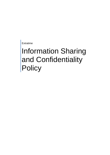Extratime

# Information Sharing and Confidentiality **Policy**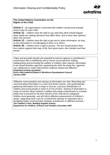

#### **The United Nations Convention on the Rights of the Child**

**Article 3** – *all organisations concerned with children should work towards what is best for each child.*

**Article 12** – *children have the right to say what they think should happen when adults are making decisions that affect them, and to have their opinions taken into account.*

**Article 13** – *children have the right to get and to share information, as long as the information is not damaging to them or to others.*

**Article 16** – *children have a right to privacy. The law should protect them from attacks against their way of life, their good name, their families and their homes.*

*"Clear and accurate records are essential to track an agency or practitioner's involvement with a child/family and to ensure sound decision making. Safeguarding and promoting the welfare of children often requires information to be shared between agencies supporting the child. By doing this, agencies can collaborate to make interventions evidence-based and effective." Integrated working newsletter***, Every child matters/Children's Workforce Development Council, January 2009**

*"Effective communication and sharing of information are vital. Recording and communicating information in a clear and timely manner, and systematically gathering information from a range of sources, improves identification of children and young people in need or at risk of harm. Sharing of information in cases of concern about children's welfare will enable professionals to consider jointly how to proceed in the best interest of the child and to safeguard children more generally, and will inform effective assessments of children's needs. Supporting tools such as ContactPoint will play an important role in facilitating better communication between practitioners in different services." The Children's Plan: Building brighter futures***, Department for Children, Schools and Families, December 2007**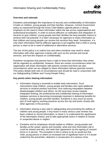

# **Overview and rationale**

Extratime acknowledges the importance of security and confidentiality of information it holds on children, young people and their families. However, Central Government policy as expressed through the Every Child Matters agenda places a strong emphasis on the need to share information within the law across organisational and professional boundaries, in order to ensure effective co-ordination and integration of services to give children, young people and their families the best possible chance to achieve their full potential. It is often necessary for agencies to share information so that children and young people can receive the services they need. Sometimes, it is only when information held by different agencies is put together that a child or young person is seen to be in need of additional or alternative services.

The aim of this policy is to outline how and when extratime may need to share information with other agencies it liaises with such as the schools and social services, and how this impacts on confidentiality.

Extratime recognises that parents have a right to know that information they share will be regarded as confidential. However, there are certain circumstances when the organisation will share information with parents consent and there are also circumstances when we are obliged to share information without parental consent. This policy details both sets of circumstances and should be read in conjunction with our Safeguarding Children and Young People Policy.

# **Key points when sharing information**

- Information sharing is essential to enable early intervention. Such interventions help children, young people and families who need additional services to achieve positive outcomes, thus reducing inequalities between disadvantaged children and others. As the local area moves towards integrated working, the professional and confidential sharing of information between services is becoming increasingly important in delivering benefits for children, young people and their families. Extratime is very much an active part of multi agency working practices across the city and works closely with other agencies in this process.
- Information sharing is also vital to safeguarding and promoting the welfare of children and young people. A key factor in many serious case reviews has been a failure to record information, to share it, to understand the significance of the information shared, and to take appropriate action in relation to known or suspected abuse or neglect.
- Extratime and its employees should explain to children, young people and families at the outset, openly and honestly, what and how information will or could be shared and why, and seek their agreement via the signing of consent forms or in person. The exception to this is where to do so would put that child, young person or others at increased risk of significant harm or if it would undermine the prevention, detection or prosecution of a serious crime.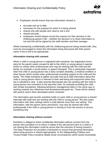

- Employees should ensure that any information shared is:
	- accurate and up to date
	- necessary for the purpose for which it is being shared
	- shared only with people who need to see it and
	- shared securely.
	- employees should always record the reasons for their decision in the child/young person's file – whether the decision is to share information or not and this will be signed by the staff member and their manager.

Whilst maintaining confidentiality with the child/young person being worked with, they must be encouraged to share the information being discussed with their parent carers if this is felt to be appropriate.

#### **Information sharing with consent**

When a child or young person is registered with extratime, the registration forms asks for the parent carers consent to talk to the child's or young person's teacher and/or to certain other professionals who may be working with the child and the family; for example a social worker or speech therapist. This is particularly important when the child or young person has a fairly complex disability, a medical condition or other factors which involve other professionals providing support to the child and the family. This helps extratime to gather accurate and up to date information about the child or young person which is relevant to their well being and enjoyment when they are in extratime's care. It also ensures that people who are working with the child or young person are consistent in the way they work, for example providing the child with similar boundaries, following behaviour management plans in the same way or working towards key milestones and developmental goals etc. These will be shared with parent carers when developed and/or reviewed.

The information and records extratime holds on each child or young person is shared internally with staff who are working with the child or young person. We also share information with other settings where a child attends more than one setting. This information, with the parent carers permission, may also be shared with other professionals if the child or young person is moving on from the service to access something new.

#### **Information sharing without consent**

Extratime is obliged to share confidential information without consent from the person who provided it or to whom it relates if this will prevent harm to a child or if not sharing the information could be worse than the outcome of having shared it. The Data Protection Act provides a framework to ensure that personal information about living persons is shared appropriately. In the Safeguarding Children and Young People Policy extratime details those circumstances which would necessitate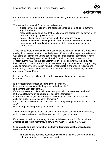

the organisation sharing information about a child or young person with other services.

The four critical criteria informing the decision are:

- evidence that the child or young person is suffering, or is at risk of suffering, significant harm.
- reasonable cause to believe that a child or young person may be suffering, or at risk of suffering, significant harm.
- to prevent significant harm arising to children or young people.
- to prevent a crime from being committed or intervene where one may have been committed, including the prevention, detection and prosecution of serious crime.

A decision to share information without consent is never taken lightly, it is a decision made jointly between staff and the designated officer and always puts the safety and well-being of children and young people first. The management committee receive reports from the designated officer where information has been shared without consent but the names have been removed; this helps ensure that the policy has been followed correctly. Careful record keeping of any concerns helps to support any decision for sharing information without consent. Details of protocols followed and forms used, in these circumstances, are to be found in the Safeguarding Children and Young People Policy.

In addition, Extratime will consider the following questions before sharing information:

Is there legitimate purpose to sharing the information?

Does the information enable the person to be identified?

Is the information confidential?

If the information is confidential, does the organisation have consent to share? Is there a statutory duty or court order to share information?

If consent is refused, or there are good reasons not to seek consent, is there sufficient public interest to share information?

If the decision is to share, is the organisation sharing the right information in the right way?

Has the organisation properly recorded the decision?

All the undertakings above are subject to the paramount commitment of extratime, which is to the safety and well-being of the child or young person.

Extratime's procedure for sharing information is based on the *6 points for Good Practice* as set out in *Information Sharing: Practitioners' Guide (HMG 2006)*

#### **1. Explain to families how, when and why information will be shared about them and with whom.**

 That consent is normally obtained, unless it puts the child or young person at risk or undermines a criminal investigation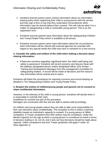

- extratime ensures parent carers receive information about our information sharing policy when registering their child or young person with the service and they sign a form to say that they *understand* circumstances when information may be shared without their consent. This will only be when it is a matter of safeguarding a child or vulnerable young person. This is on the registration form.
- Extratime ensures parents have information about the Safeguarding Children and Young People Policy which is available at all venues.
- Extratime ensures parent carers have information about the circumstances when information will be shared with external agencies for example with regard to any special needs the child may have or transition to a new service.

#### **2. Consider the safety and welfare of the child when making a decision about sharing information.**

• if there are concerns regarding 'significant harm' the child's well being and safety is paramount. Extratime will record concerns and discuss these with the setting's *designated person* and/or *designated officer (Zoe Anstey – Training and Development Manager)* from the management committee for safeguarding matters. A record will be made of decisions and the reasons why information will be shared and to whom.

Extratime will follow the procedures for reporting concerns and record keeping as detailed in The Safeguarding Children and Young People Policy.

#### **3. Respect the wishes of children/young people and parents not to consent to share confidential information.**

However, in the interests of the child or young person, extratime will decide when it is reasonable to override their wish.

Guidelines for consent are part of this procedure.

Managers are conversant with this and are able to advise staff accordingly.

As children and young people mature they are able to take more responsibility for their own decisions about confidentiality. The exception to this is where a learning disability impairs an individual's capacity to consent. If a young person is Gillick competent, or Fraser competent then their wishes may be considered. Under the Mental Capacity Act the age at which a young person in considered an adult in terms of decision making is 16, not 18, and it sets out how decisions should be made about capacity. Gillick competence test and Fraser guidelines still apply if under 16. (See Appendix 1)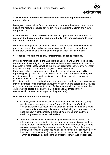

#### **4. Seek advice when there are doubts about possible significant harm to a child or others.**

Managers contact children's social care for advice where they have doubts or are unsure and follow procedures outlined in The Safeguarding Children and Young People Policy.

#### **5. Information shared should be accurate and up-to-date, necessary for the purpose it is being shared for and shared only with those who need to know and shared securely.**

Extratime's Safeguarding Children and Young People Policy and record keeping procedures set out how and where information should be recorded and what information should be shared with another agency when making a referral.

#### **6. Reasons for decisions to share information, or not, is recorded.**

Provision for this is set out in the Safeguarding Children and Young People policy. Parent carers have a right to be informed that their consent to share information will be sought in most cases, as well as the kinds of circumstances when their consent may not be sought, or their refusal to give consent overridden.

Extratime's policies and procedures set out the organisation's responsibility regarding gaining consent to share information and when it may not be sought or overridden and these are made available to parent carers at all venues where extratime provides a service.

Parent carers sign a registration form to say they understand that other professionals may be approached for information about their child or young person and are asked to give their consent to do so. A record of this communication will be kept on the child or young person's file and the parent carer updated through their communication sheet/book or in person (if appropriate).

#### **How this impacts on confidentiality**

- All employees who have access to information about children and young people have a duty to preserve confidence. Each individual's right to confidentiality must be respected. All personal information must be treated with care and kept securely; this means not disclosing it to people who do not need to know. If confidentiality is broken by any member of staff then disciplinary action may need to be taken.
- In normal circumstances the child/young person who is the subject of the information will be required to give consent before information about them can be shared. The consent of the provider of the information may also be required. Irrespective of the age and level of maturity of the child/young person, if information is disclosed which indicates that the child/young person involved (or another person) is at serious risk of harm, then confidentiality cannot be preserved as safeguarding procedures must take precedence.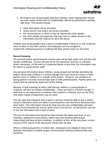

- All children and young people (and their families, where appropriate) should be made aware of the level of confidentiality offered by practitioners working with them. This should include:
	- what information will be recorded
	- where and for how long it will remain recorded
	- the circumstances in which it may be shared with other people
	- the other people and agencies that may have or obtain access to the information and the reasons for all of the above.

Children and young people have a right to confidentiality if there is no risk of serious harm to them or any other person, but employees are encouraged to support the child/young person in talking with their parent carers on all issues.

# **Record Keeping**

All records/incident reports/session review notes will be kept under lock and key and remain confidential. Access will only be for the supervisor and the co-ordinator, where necessary. *(In the event of suspected abuse of any kind, this information may be shown to social service staff)*

Any personal information about children, young people and families attending the project will be kept similarly in a locked storage and must never be shown to other parent carers or children in or outside of the project. However, the children's or young person's records must be kept open to their parents/carers. Parent carers can access this by asking the supervisor at the setting.

Minutes of staff meetings at which staff discuss children or young people or incidents, will also be treated confidentially. These are kept in a locked storage. If staff wish to use paperwork to evidence their practice in training, such as the NVQ, only blank copies of paperwork may be used.

The law says that everyone who is given a service should be able to see a written record of decisions which are taken concerning them and why those decisions have been taken. This information should be kept securely and confidentially and each record should describe the service given only to one person, so that person can ask to see the information that is kept on them.

The sort of information that should be kept includes the dates and times of any meetings, telephone conversations, letters sent and received (with actual copies kept) and face-to-face meetings. In addition to this, at the very least, a short account of the nature of the discussion should also be kept.

When a child/young person is looked after, employees are obliged to keep more detailed information to enable proper communication between professionals and Extratime.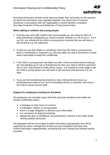

Recorded information should not be kept any longer than necessary for the purpose for which the information was originally obtained. Any destruction of records should be in accordance with the organisation's record retention schedules. See Data Protection Policy and |Retention of Documents Policy.

# **When talking to children and young people:**

- 1. If during your work with children and young people you are asked by them to keep something confidential you should consider whether it is OK to do so. If it is not OK, you should tell the child or young person honestly that you will have to tell someone e.g. the supervisor.
- 2. If what you are told relates to something minor that the child or young person feels is confidential or important e.g. s/he has fallen out with a friend then it would seem reasonable to keep this confidential.
- 3. If the child or young person has fallen out with a friend and that friend is bullying her and ganging up on her or threatening her then you need to tell the supervisor who in turn, may decide to notify parent carers. It is important at this stage to tell the child or young person you will need to tell someone else because it is not right.
- 4. If you are told something that presents a clear child protection issue e.g. physical/sexual violence you must immediately tell the co-ordinator who may in turn inform social services staff.

# **Support for employees working for Extratime**

All employees can normally expect that their personal situations and health will remain confidential unless:

- it impinges on their terms of contract
- it endangers children or young people
- there is a legal obligation to disclose such information
- it is necessary for legal proceedings
- despite the duty of confidence, the practitioner's interest or the wider public interest justifies disclosure

All employees will be encouraged to share information appropriately and will be supported by senior management if there are any complaints that they have shared information inappropriately, providing that such sharing has followed advice provided..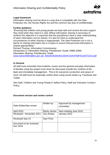

# **Legal framework**

Information sharing must be done in a way that is compatible with the Data Protection Act, the Human Rights Act and the common law duty of confidentiality.

# **Further guidance**

*"Ensuring that children and young people are kept safe and receive the best support they need when they need it is vital. Where information sharing is necessary to achieve this objective it is important that the practitioners have a clear understanding of when information can be shared. It is also for them to understand the circumstances of when sharing is inappropriate. The Data Protection Act is not a barrier to sharing information but is in place to ensure that personal information is shared appropriately."*

Richard Thomas, Information Commissioner Introduction to 'Information Sharing: Practitioners' Guide' (HMG 2006) Information Sharing: Practitioners' Guide [www.everychildmatters.gov.uk/\\_files/ACB1BA35C20D4C42A1FE6F9133A7C614.pdf](http://www.everychildmatters.gov.uk/_files/ACB1BA35C20D4C42A1FE6F9133A7C614.pdf)

# **In General**

All staff must remember that incidents, issues and the general everyday information of families using the project must never be discussed outside the confines of the team and immediate management. This is for everyone's protection and peace of mind. All staff must be especially careful when using social media e.g. Facebook and Twitter.

See Staff, Children and Young People E Safety Policy; Staff and Volunteer Conduct Policy;

# **Document version and review control**

| Date Written/last review            | Written by:      | Approved by management<br>committee; |
|-------------------------------------|------------------|--------------------------------------|
| <b>April 2010</b>                   | Becky Jenner     | Next meeting June 2010               |
| Reviewed - November 2011            | Zoe Anstey       | January 2012                         |
| <b>Reviewed Sep 15</b>              | <b>Sam Price</b> |                                      |
| Document to be reviewed<br>Nov 2018 |                  |                                      |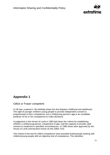

# **Appendix 1**

# Gillick or Fraser competent

In UK law, a person's 18th birthday draws the line between childhood and adulthood2. The right of younger children/ young people to provide independent consent is proportionate to their competence, but a child/young person's age is an unreliable predictor of his or her competence to make decisions.

A judgement in the House of Lords in 1983 laid down the criteria for establishing whether a child/young person, irrespective of age, had the capacity to provide valid consent to treatment in specified circumstancess. In 1985 these were approved by the House of Lords and became known as the *Gillick Test.*

The criteria in the test for Gillick competence have provided professionals working with children/young people with an objective test of competence. This identifies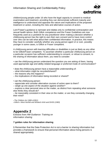

children/young people under 16 who have the legal capacity to consent to medical examination and treatment, providing they can demonstrate sufficient maturity and intelligence to understand and appraise the nature and implications of the proposed treatment or action, including the risks and alternative courses of action.

Lord Fraser's guidance is narrower and relates only to confidential contraception and sexual health advice. Both Gillick competence and the Fraser Guidelines are now frequently used as a yardstick for any practitioner when making a decision whether a child/young person has the right to *own their own consent* and to have more control over who can be told what about their confidential information. In practice, this means they have to consider carefully whether any young person aged 12 or over, possibly younger in some cases, is Gillick or Fraser competent.

A child/young person with learning difficulties or disabilities is just as likely as any other to be Gillick/Fraser competent. To ascertain whether a particular child/young person on a particular occasion has sufficient understanding to consent, or refuse to consent, to the sharing of information about them, you need to consider:

• can the child/young person understand the question you are asking of them, having used appropriate age and ability-related language or preferred mode of communication?

- does the child/young person have a reasonable understanding of:
- what information might be recorded/shared?
- the reasons why this happens?
- the implications of information being recorded or shared?
- can the child/young person:
- appreciate and consider alternative courses of action open to them?
- weigh up one aspect of the situation against another?

– express a clear personal view on the matter, as distinct from repeating what someone else thinks they should do?

– be reasonably consistent in their view on the matter, or are they constantly changing their mind?

<sup>2</sup>*The Children Act 1989 s105(1)* <sup>3</sup>*Gillick v West Norfolk and Wisbech AHA and DHSS (1983)*

# **Appendix 2**

Extracts from *HM Guidance: Training on information sharing*

# **7 golden rules for information sharing**

**1** Remember that the Data Protection Act is not a barrier to sharing information but provides a framework to ensure that personal information about living persons is shared appropriately.